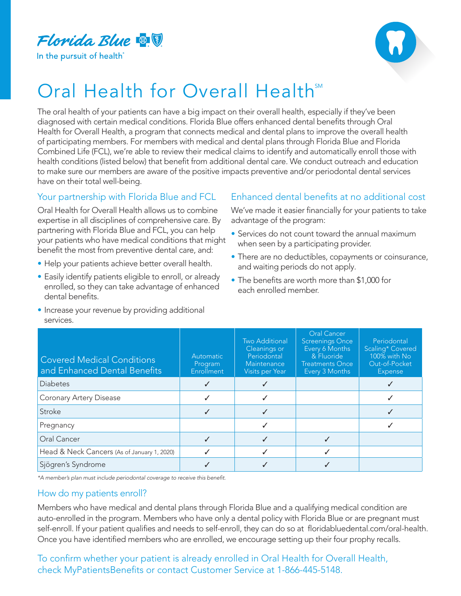

In the pursuit of health



## Oral Health for Overall Health<sup>SM</sup>

The oral health of your patients can have a big impact on their overall health, especially if they've been diagnosed with certain medical conditions. Florida Blue offers enhanced dental benefits through Oral Health for Overall Health, a program that connects medical and dental plans to improve the overall health of participating members. For members with medical and dental plans through Florida Blue and Florida Combined Life (FCL), we're able to review their medical claims to identify and automatically enroll those with health conditions (listed below) that benefit from additional dental care. We conduct outreach and education to make sure our members are aware of the positive impacts preventive and/or periodontal dental services have on their total well-being.

## Your partnership with Florida Blue and FCL

Oral Health for Overall Health allows us to combine expertise in all disciplines of comprehensive care. By partnering with Florida Blue and FCL, you can help your patients who have medical conditions that might benefit the most from preventive dental care, and:

- Help your patients achieve better overall health.
- Easily identify patients eligible to enroll, or already enrolled, so they can take advantage of enhanced dental benefits.
- Increase your revenue by providing additional services.

## Enhanced dental benefits at no additional cost

We've made it easier financially for your patients to take advantage of the program:

- Services do not count toward the annual maximum when seen by a participating provider.
- There are no deductibles, copayments or coinsurance, and waiting periods do not apply.
- The benefits are worth more than \$1,000 for each enrolled member.

| <b>Covered Medical Conditions</b><br>and Enhanced Dental Benefits | Automatic<br>Program<br>Enrollment | Two Additional<br>Cleanings or<br>Periodontal<br>Maintenance<br>Visits per Year | <b>Oral Cancer</b><br><b>Screenings Once</b><br>Every 6 Months<br>& Fluoride<br><b>Treatments Once</b><br>Every 3 Months | Periodontal<br>Scaling* Covered<br>100% with No<br>Out-of-Pocket<br><b>Expense</b> |
|-------------------------------------------------------------------|------------------------------------|---------------------------------------------------------------------------------|--------------------------------------------------------------------------------------------------------------------------|------------------------------------------------------------------------------------|
| <b>Diabetes</b>                                                   |                                    |                                                                                 |                                                                                                                          |                                                                                    |
| <b>Coronary Artery Disease</b>                                    |                                    |                                                                                 |                                                                                                                          |                                                                                    |
| Stroke                                                            |                                    |                                                                                 |                                                                                                                          |                                                                                    |
| Pregnancy                                                         |                                    |                                                                                 |                                                                                                                          |                                                                                    |
| Oral Cancer                                                       |                                    |                                                                                 |                                                                                                                          |                                                                                    |
| Head & Neck Cancers (As of January 1, 2020)                       |                                    |                                                                                 |                                                                                                                          |                                                                                    |
| Sjögren's Syndrome                                                |                                    |                                                                                 |                                                                                                                          |                                                                                    |

\*A member's plan must include periodontal coverage to receive this benefit.

## How do my patients enroll?

Members who have medical and dental plans through Florida Blue and a qualifying medical condition are auto-enrolled in the program. Members who have only a dental policy with Florida Blue or are pregnant must self-enroll. If your patient qualifies and needs to self-enroll, they can do so at floridabluedental.com/oral-health. Once you have identified members who are enrolled, we encourage setting up their four prophy recalls.

To confirm whether your patient is already enrolled in Oral Health for Overall Health, check MyPatientsBenefits or contact Customer Service at 1-866-445-5148.